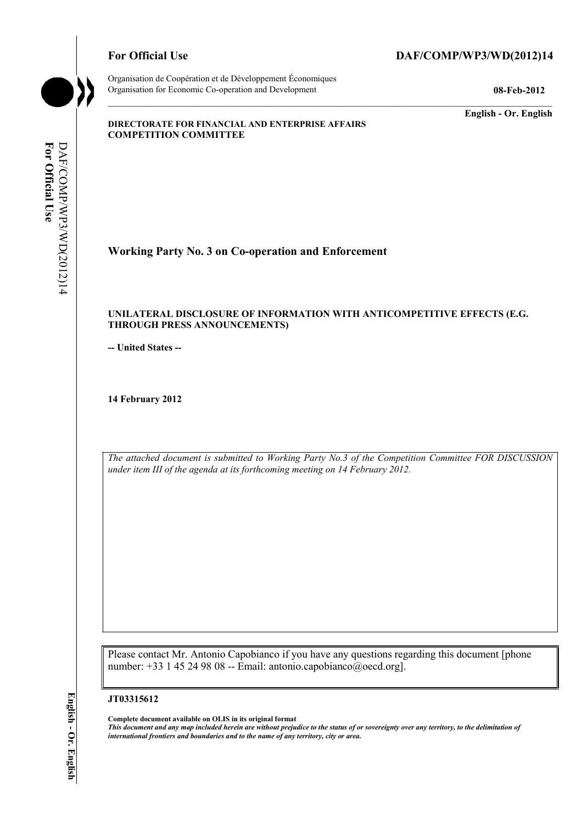

Organisation de Coopération et de Développement Économiques Organisation for Economic Co-operation and Development **08-Feb-2012** 

**English - Or. English** 

#### **DIRECTORATE FOR FINANCIAL AND ENTERPRISE AFFAIRS COMPETITION COMMITTEE**

For Official Use **For Official Use**  DAF/COMP/WP3/WD(2012)14 DAF/COMP/WP3/WD(2012)14

**Working Party No. 3 on Co-operation and Enforcement** 

#### **UNILATERAL DISCLOSURE OF INFORMATION WITH ANTICOMPETITIVE EFFECTS (E.G. THROUGH PRESS ANNOUNCEMENTS)**

**-- United States --**

**14 February 2012** 

*The attached document is submitted to Working Party No.3 of the Competition Committee FOR DISCUSSION under item III of the agenda at its forthcoming meeting on 14 February 2012.* 

Please contact Mr. Antonio Capobianco if you have any questions regarding this document [phone number: +33 1 45 24 98 08 -- Email: antonio.capobianco@oecd.org].

#### **JT03315612**

 **Complete document available on OLIS in its original format** 

 *This document and any map included herein are without prejudice to the status of or sovereignty over any territory, to the delimitation of international frontiers and boundaries and to the name of any territory, city or area.*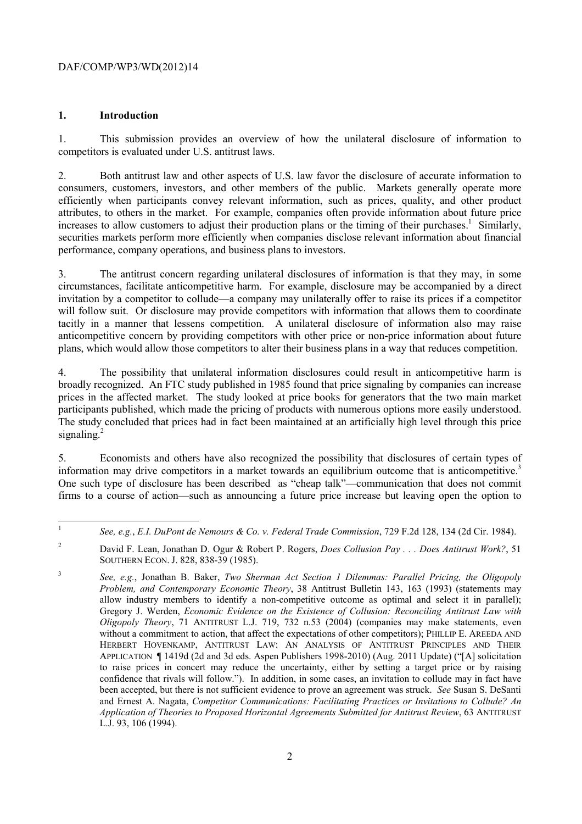### **1. Introduction**

1. This submission provides an overview of how the unilateral disclosure of information to competitors is evaluated under U.S. antitrust laws.

2. Both antitrust law and other aspects of U.S. law favor the disclosure of accurate information to consumers, customers, investors, and other members of the public. Markets generally operate more efficiently when participants convey relevant information, such as prices, quality, and other product attributes, to others in the market. For example, companies often provide information about future price increases to allow customers to adjust their production plans or the timing of their purchases.<sup>1</sup> Similarly, securities markets perform more efficiently when companies disclose relevant information about financial performance, company operations, and business plans to investors.

3. The antitrust concern regarding unilateral disclosures of information is that they may, in some circumstances, facilitate anticompetitive harm. For example, disclosure may be accompanied by a direct invitation by a competitor to collude—a company may unilaterally offer to raise its prices if a competitor will follow suit. Or disclosure may provide competitors with information that allows them to coordinate tacitly in a manner that lessens competition. A unilateral disclosure of information also may raise anticompetitive concern by providing competitors with other price or non-price information about future plans, which would allow those competitors to alter their business plans in a way that reduces competition.

participants published, which made the pricing of products with numerous options more easily understood. signaling.<sup>2</sup> 4. The possibility that unilateral information disclosures could result in anticompetitive harm is broadly recognized. An FTC study published in 1985 found that price signaling by companies can increase prices in the affected market. The study looked at price books for generators that the two main market The study concluded that prices had in fact been maintained at an artificially high level through this price

information may drive competitors in a market towards an equilibrium outcome that is anticompetitive.<sup>3</sup> 5. Economists and others have also recognized the possibility that disclosures of certain types of One such type of disclosure has been described as "cheap talk"—communication that does not commit firms to a course of action—such as announcing a future price increase but leaving open the option to

<sup>1</sup>*See, e.g.*, *E.I. DuPont de Nemours & Co. v. Federal Trade Commission*, 729 F.2d 128, 134 (2d Cir. 1984).

<sup>2</sup> David F. Lean, Jonathan D. Ogur & Robert P. Rogers, *Does Collusion Pay . . . Does Antitrust Work?*, 51 SOUTHERN ECON. J. 828, 838-39 (1985).

 and Ernest A. Nagata, *Competitor Communications: Facilitating Practices or Invitations to Collude? An*  <sup>3</sup>*See, e.g.*, Jonathan B. Baker, *Two Sherman Act Section 1 Dilemmas: Parallel Pricing, the Oligopoly Problem, and Contemporary Economic Theory*, 38 Antitrust Bulletin 143, 163 (1993) (statements may allow industry members to identify a non-competitive outcome as optimal and select it in parallel); Gregory J. Werden, *Economic Evidence on the Existence of Collusion: Reconciling Antitrust Law with Oligopoly Theory*, 71 ANTITRUST L.J. 719, 732 n.53 (2004) (companies may make statements, even without a commitment to action, that affect the expectations of other competitors); PHILLIP E. AREEDA AND HERBERT HOVENKAMP, ANTITRUST LAW: AN ANALYSIS OF ANTITRUST PRINCIPLES AND THEIR APPLICATION ¶ 1419d (2d and 3d eds. Aspen Publishers 1998-2010) (Aug. 2011 Update) ("[A] solicitation to raise prices in concert may reduce the uncertainty, either by setting a target price or by raising confidence that rivals will follow."). In addition, in some cases, an invitation to collude may in fact have been accepted, but there is not sufficient evidence to prove an agreement was struck. *See* Susan S. DeSanti *Application of Theories to Proposed Horizontal Agreements Submitted for Antitrust Review*, 63 ANTITRUST L.J. 93, 106 (1994).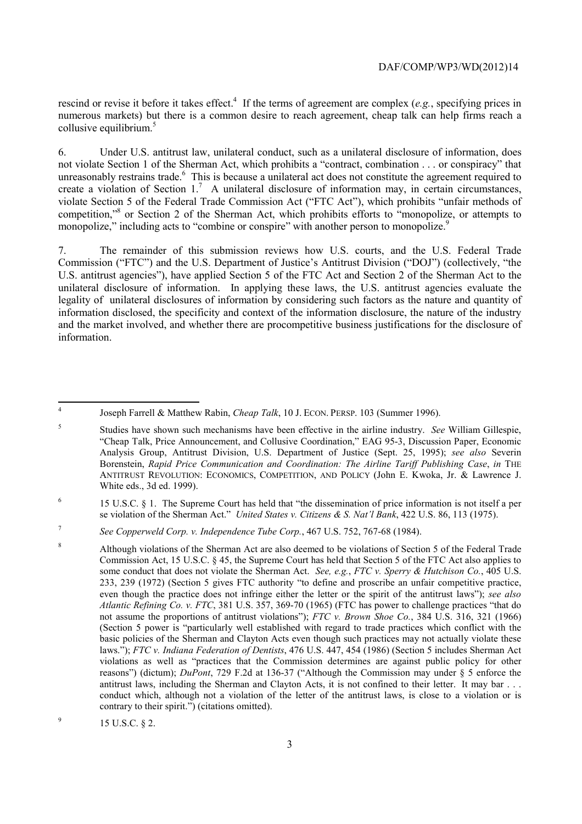rescind or revise it before it takes effect.<sup>4</sup> If the terms of agreement are complex (*e.g.*, specifying prices in collusive equilibrium.<sup>5</sup> numerous markets) but there is a common desire to reach agreement, cheap talk can help firms reach a

monopolize," including acts to "combine or conspire" with another person to monopolize.<sup>9</sup> 6. Under U.S. antitrust law, unilateral conduct, such as a unilateral disclosure of information, does not violate Section 1 of the Sherman Act, which prohibits a "contract, combination . . . or conspiracy" that unreasonably restrains trade.<sup>6</sup> This is because a unilateral act does not constitute the agreement required to create a violation of Section 1.<sup>7</sup> A unilateral disclosure of information may, in certain circumstances, violate Section 5 of the Federal Trade Commission Act ("FTC Act"), which prohibits "unfair methods of competition,"<sup>8</sup> or Section 2 of the Sherman Act, which prohibits efforts to "monopolize, or attempts to

7. The remainder of this submission reviews how U.S. courts, and the U.S. Federal Trade Commission ("FTC") and the U.S. Department of Justice's Antitrust Division ("DOJ") (collectively, "the U.S. antitrust agencies"), have applied Section 5 of the FTC Act and Section 2 of the Sherman Act to the unilateral disclosure of information. In applying these laws, the U.S. antitrust agencies evaluate the legality of unilateral disclosures of information by considering such factors as the nature and quantity of information disclosed, the specificity and context of the information disclosure, the nature of the industry and the market involved, and whether there are procompetitive business justifications for the disclosure of information.

<sup>4</sup> Joseph Farrell & Matthew Rabin, *Cheap Talk*, 10 J. ECON. PERSP. 103 (Summer 1996).

<sup>5</sup> Studies have shown such mechanisms have been effective in the airline industry. *See* William Gillespie, "Cheap Talk, Price Announcement, and Collusive Coordination," EAG 95-3, Discussion Paper, Economic Analysis Group, Antitrust Division, U.S. Department of Justice (Sept. 25, 1995); *see also* Severin Borenstein, *Rapid Price Communication and Coordination: The Airline Tariff Publishing Case*, *in* THE ANTITRUST REVOLUTION: ECONOMICS, COMPETITION, AND POLICY (John E. Kwoka, Jr. & Lawrence J. White eds., 3d ed. 1999).

<sup>6 15</sup> U.S.C. § 1. The Supreme Court has held that "the dissemination of price information is not itself a per se violation of the Sherman Act." *United States v. Citizens & S. Nat'l Bank*, 422 U.S. 86, 113 (1975).

<sup>7</sup>*See Copperweld Corp. v. Independence Tube Corp.*, 467 U.S. 752, 767-68 (1984).

 basic policies of the Sherman and Clayton Acts even though such practices may not actually violate these laws."); *FTC v. Indiana Federation of Dentists*, 476 U.S. 447, 454 (1986) (Section 5 includes Sherman Act reasons") (dictum); *DuPont*, 729 F.2d at 136-37 ("Although the Commission may under § 5 enforce the 8 Although violations of the Sherman Act are also deemed to be violations of Section 5 of the Federal Trade Commission Act, 15 U.S.C. § 45, the Supreme Court has held that Section 5 of the FTC Act also applies to some conduct that does not violate the Sherman Act. *See, e.g.*, *FTC v. Sperry & Hutchison Co.*, 405 U.S. 233, 239 (1972) (Section 5 gives FTC authority "to define and proscribe an unfair competitive practice, even though the practice does not infringe either the letter or the spirit of the antitrust laws"); *see also Atlantic Refining Co. v. FTC*, 381 U.S. 357, 369-70 (1965) (FTC has power to challenge practices "that do not assume the proportions of antitrust violations"); *FTC v. Brown Shoe Co.*, 384 U.S. 316, 321 (1966) (Section 5 power is "particularly well established with regard to trade practices which conflict with the violations as well as "practices that the Commission determines are against public policy for other antitrust laws, including the Sherman and Clayton Acts, it is not confined to their letter. It may bar . . . conduct which, although not a violation of the letter of the antitrust laws, is close to a violation or is contrary to their spirit.") (citations omitted).

 $^{9}$  15 U.S.C. § 2.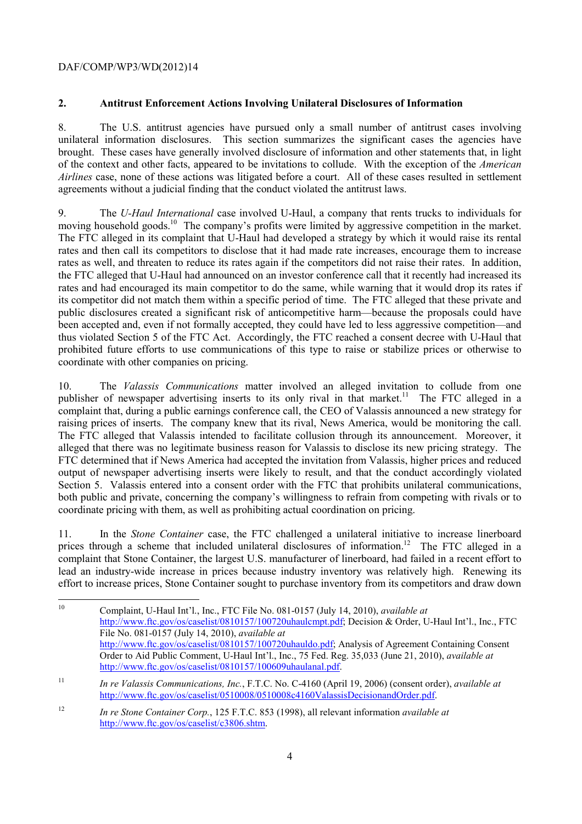# **2. Antitrust Enforcement Actions Involving Unilateral Disclosures of Information**

 unilateral information disclosures. This section summarizes the significant cases the agencies have 8. The U.S. antitrust agencies have pursued only a small number of antitrust cases involving brought. These cases have generally involved disclosure of information and other statements that, in light of the context and other facts, appeared to be invitations to collude. With the exception of the *American Airlines* case, none of these actions was litigated before a court. All of these cases resulted in settlement agreements without a judicial finding that the conduct violated the antitrust laws.

moving household goods.<sup>10</sup> The company's profits were limited by aggressive competition in the market.<br>The FTC alleged in its complaint that U-Haul had developed a strategy by which it would raise its rental 9. The *U-Haul International* case involved U-Haul, a company that rents trucks to individuals for rates and then call its competitors to disclose that it had made rate increases, encourage them to increase rates as well, and threaten to reduce its rates again if the competitors did not raise their rates. In addition, the FTC alleged that U-Haul had announced on an investor conference call that it recently had increased its rates and had encouraged its main competitor to do the same, while warning that it would drop its rates if its competitor did not match them within a specific period of time. The FTC alleged that these private and public disclosures created a significant risk of anticompetitive harm—because the proposals could have been accepted and, even if not formally accepted, they could have led to less aggressive competition—and thus violated Section 5 of the FTC Act. Accordingly, the FTC reached a consent decree with U-Haul that prohibited future efforts to use communications of this type to raise or stabilize prices or otherwise to coordinate with other companies on pricing.

 complaint that, during a public earnings conference call, the CEO of Valassis announced a new strategy for 10. The *Valassis Communications* matter involved an alleged invitation to collude from one publisher of newspaper advertising inserts to its only rival in that market.<sup>11</sup> The FTC alleged in a raising prices of inserts. The company knew that its rival, News America, would be monitoring the call. The FTC alleged that Valassis intended to facilitate collusion through its announcement. Moreover, it alleged that there was no legitimate business reason for Valassis to disclose its new pricing strategy. The FTC determined that if News America had accepted the invitation from Valassis, higher prices and reduced output of newspaper advertising inserts were likely to result, and that the conduct accordingly violated Section 5. Valassis entered into a consent order with the FTC that prohibits unilateral communications, both public and private, concerning the company's willingness to refrain from competing with rivals or to coordinate pricing with them, as well as prohibiting actual coordination on pricing.

prices through a scheme that included unilateral disclosures of information.<sup>12</sup> The FTC alleged in a 11. In the *Stone Container* case, the FTC challenged a unilateral initiative to increase linerboard complaint that Stone Container, the largest U.S. manufacturer of linerboard, had failed in a recent effort to lead an industry-wide increase in prices because industry inventory was relatively high. Renewing its effort to increase prices, Stone Container sought to purchase inventory from its competitors and draw down

 $\overline{a}$ 10 Complaint, U-Haul Int'l., Inc., FTC File No. 081-0157 (July 14, 2010), *available at*  http://www.ftc.gov/os/caselist/0810157/100720uhaulcmpt.pdf; Decision & Order, U-Haul Int'l., Inc., FTC File No. 081-0157 (July 14, 2010), *available at*  http://www.ftc.gov/os/caselist/0810157/100720uhauldo.pdf; Analysis of Agreement Containing Consent Order to Aid Public Comment, U-Haul Int'l., Inc., 75 Fed. Reg. 35,033 (June 21, 2010), *available at*  http://www.ftc.gov/os/caselist/0810157/100609uhaulanal.pdf.

<sup>11</sup>*In re Valassis Communications, Inc.*, F.T.C. No. C-4160 (April 19, 2006) (consent order), *available at*  http://www.ftc.gov/os/caselist/0510008/0510008c4160ValassisDecisionandOrder.pdf.

<sup>12</sup>*In re Stone Container Corp.*, 125 F.T.C. 853 (1998), all relevant information *available at*  http://www.ftc.gov/os/caselist/c3806.shtm.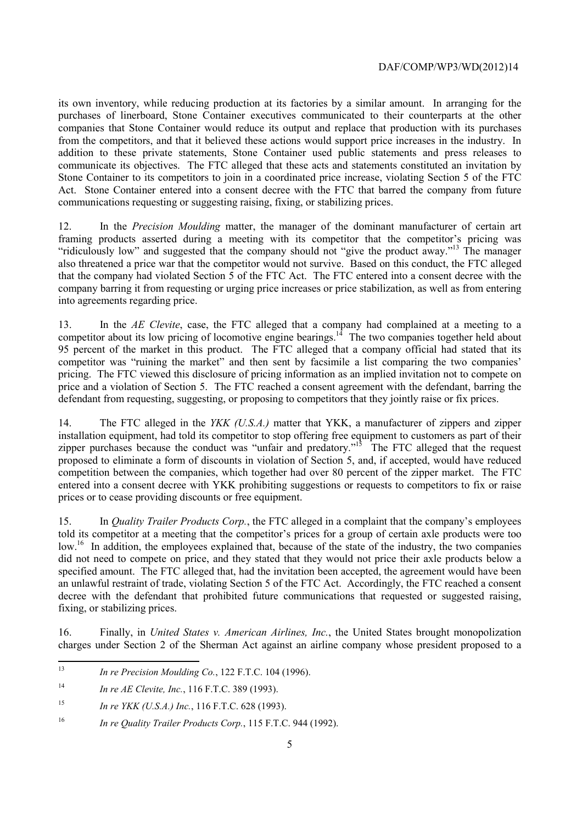communicate its objectives. The FTC alleged that these acts and statements constituted an invitation by its own inventory, while reducing production at its factories by a similar amount. In arranging for the purchases of linerboard, Stone Container executives communicated to their counterparts at the other companies that Stone Container would reduce its output and replace that production with its purchases from the competitors, and that it believed these actions would support price increases in the industry. In addition to these private statements, Stone Container used public statements and press releases to Stone Container to its competitors to join in a coordinated price increase, violating Section 5 of the FTC Act. Stone Container entered into a consent decree with the FTC that barred the company from future communications requesting or suggesting raising, fixing, or stabilizing prices.

"ridiculously low" and suggested that the company should not "give the product away."<sup>13</sup> The manager into agreements regarding price. 12. In the *Precision Moulding* matter, the manager of the dominant manufacturer of certain art framing products asserted during a meeting with its competitor that the competitor's pricing was also threatened a price war that the competitor would not survive. Based on this conduct, the FTC alleged that the company had violated Section 5 of the FTC Act. The FTC entered into a consent decree with the company barring it from requesting or urging price increases or price stabilization, as well as from entering

13. In the *AE Clevite*, case, the FTC alleged that a company had complained at a meeting to a competitor about its low pricing of locomotive engine bearings.<sup>14</sup> The two companies together held about 95 percent of the market in this product. The FTC alleged that a company official had stated that its competitor was "ruining the market" and then sent by facsimile a list comparing the two companies' pricing. The FTC viewed this disclosure of pricing information as an implied invitation not to compete on price and a violation of Section 5. The FTC reached a consent agreement with the defendant, barring the defendant from requesting, suggesting, or proposing to competitors that they jointly raise or fix prices.

zipper purchases because the conduct was "unfair and predatory."<sup>15</sup> The FTC alleged that the request entered into a consent decree with YKK prohibiting suggestions or requests to competitors to fix or raise 14. The FTC alleged in the *YKK (U.S.A.)* matter that YKK, a manufacturer of zippers and zipper installation equipment, had told its competitor to stop offering free equipment to customers as part of their proposed to eliminate a form of discounts in violation of Section 5, and, if accepted, would have reduced competition between the companies, which together had over 80 percent of the zipper market. The FTC prices or to cease providing discounts or free equipment.

 15. In *Quality Trailer Products Corp.*, the FTC alleged in a complaint that the company's employees low.<sup>16</sup> In addition, the employees explained that, because of the state of the industry, the two companies told its competitor at a meeting that the competitor's prices for a group of certain axle products were too did not need to compete on price, and they stated that they would not price their axle products below a specified amount. The FTC alleged that, had the invitation been accepted, the agreement would have been an unlawful restraint of trade, violating Section 5 of the FTC Act. Accordingly, the FTC reached a consent decree with the defendant that prohibited future communications that requested or suggested raising, fixing, or stabilizing prices.

16. Finally, in *United States v. American Airlines, Inc.*, the United States brought monopolization charges under Section 2 of the Sherman Act against an airline company whose president proposed to a

- <sup>13</sup>*In re Precision Moulding Co.*, 122 F.T.C. 104 (1996).
- $14$ <sup>14</sup>*In re AE Clevite, Inc.*, 116 F.T.C. 389 (1993).

 $\overline{a}$ 

<sup>15</sup> <sup>15</sup>*In re YKK (U.S.A.) Inc.*, 116 F.T.C. 628 (1993).

<sup>16</sup>*In re Quality Trailer Products Corp.*, 115 F.T.C. 944 (1992).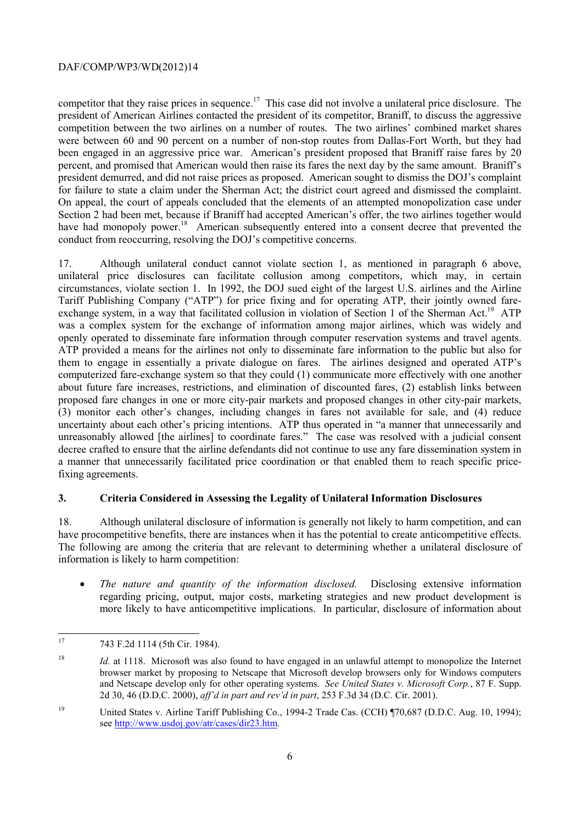percent, and promised that American would then raise its fares the next day by the same amount. Braniff's for failure to state a claim under the Sherman Act; the district court agreed and dismissed the complaint. competitor that they raise prices in sequence.<sup>17</sup> This case did not involve a unilateral price disclosure. The president of American Airlines contacted the president of its competitor, Braniff, to discuss the aggressive competition between the two airlines on a number of routes. The two airlines' combined market shares were between 60 and 90 percent on a number of non-stop routes from Dallas-Fort Worth, but they had been engaged in an aggressive price war. American's president proposed that Braniff raise fares by 20 president demurred, and did not raise prices as proposed. American sought to dismiss the DOJ's complaint On appeal, the court of appeals concluded that the elements of an attempted monopolization case under Section 2 had been met, because if Braniff had accepted American's offer, the two airlines together would have had monopoly power.<sup>18</sup> American subsequently entered into a consent decree that prevented the conduct from reoccurring, resolving the DOJ's competitive concerns.

openly operated to disseminate fare information through computer reservation systems and travel agents. (3) monitor each other's changes, including changes in fares not available for sale, and (4) reduce 17. Although unilateral conduct cannot violate section 1, as mentioned in paragraph 6 above, unilateral price disclosures can facilitate collusion among competitors, which may, in certain circumstances, violate section 1. In 1992, the DOJ sued eight of the largest U.S. airlines and the Airline Tariff Publishing Company ("ATP") for price fixing and for operating ATP, their jointly owned fareexchange system, in a way that facilitated collusion in violation of Section 1 of the Sherman Act.<sup>19</sup> ATP was a complex system for the exchange of information among major airlines, which was widely and ATP provided a means for the airlines not only to disseminate fare information to the public but also for them to engage in essentially a private dialogue on fares. The airlines designed and operated ATP's computerized fare-exchange system so that they could (1) communicate more effectively with one another about future fare increases, restrictions, and elimination of discounted fares, (2) establish links between proposed fare changes in one or more city-pair markets and proposed changes in other city-pair markets, uncertainty about each other's pricing intentions. ATP thus operated in "a manner that unnecessarily and unreasonably allowed [the airlines] to coordinate fares." The case was resolved with a judicial consent decree crafted to ensure that the airline defendants did not continue to use any fare dissemination system in a manner that unnecessarily facilitated price coordination or that enabled them to reach specific pricefixing agreements.

# **3. Criteria Considered in Assessing the Legality of Unilateral Information Disclosures**

 have procompetitive benefits, there are instances when it has the potential to create anticompetitive effects. The following are among the criteria that are relevant to determining whether a unilateral disclosure of 18. Although unilateral disclosure of information is generally not likely to harm competition, and can information is likely to harm competition:

• *The nature and quantity of the information disclosed.* Disclosing extensive information regarding pricing, output, major costs, marketing strategies and new product development is more likely to have anticompetitive implications. In particular, disclosure of information about

 $17$ 17 743 F.2d 1114 (5th Cir. 1984).

 $18\,$  and Netscape develop only for other operating systems. *See United States v. Microsoft Corp.*, 87 F. Supp. <sup>18</sup>*Id.* at 1118. Microsoft was also found to have engaged in an unlawful attempt to monopolize the Internet browser market by proposing to Netscape that Microsoft develop browsers only for Windows computers 2d 30, 46 (D.D.C. 2000), *aff'd in part and rev'd in part*, 253 F.3d 34 (D.C. Cir. 2001).

<sup>&</sup>lt;sup>19</sup> United States v. Airline Tariff Publishing Co., 1994-2 Trade Cas. (CCH) ¶70,687 (D.D.C. Aug. 10, 1994); see http://www.usdoj.gov/atr/cases/dir23.htm.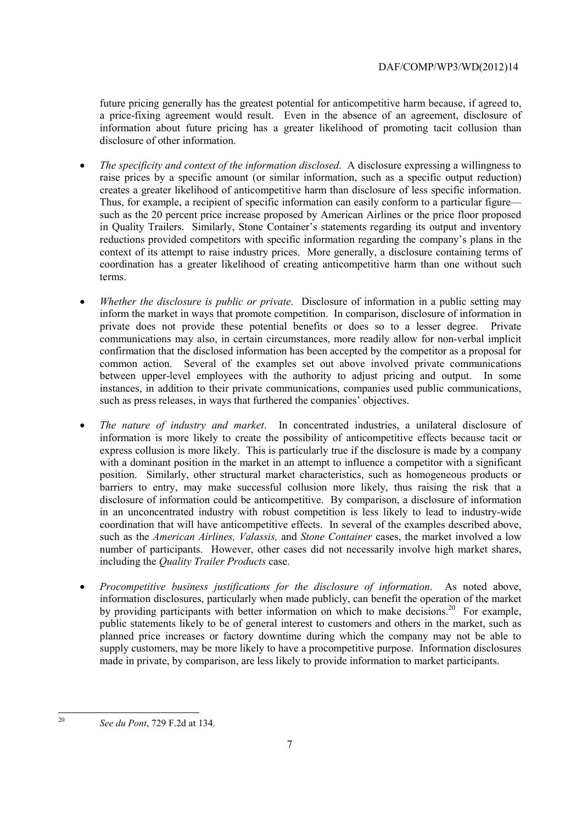future pricing generally has the greatest potential for anticompetitive harm because, if agreed to, a price-fixing agreement would result. Even in the absence of an agreement, disclosure of information about future pricing has a greater likelihood of promoting tacit collusion than disclosure of other information.

- creates a greater likelihood of anticompetitive harm than disclosure of less specific information. • *The specificity and context of the information disclosed*. A disclosure expressing a willingness to raise prices by a specific amount (or similar information, such as a specific output reduction) Thus, for example, a recipient of specific information can easily conform to a particular figure such as the 20 percent price increase proposed by American Airlines or the price floor proposed in Quality Trailers. Similarly, Stone Container's statements regarding its output and inventory reductions provided competitors with specific information regarding the company's plans in the context of its attempt to raise industry prices. More generally, a disclosure containing terms of coordination has a greater likelihood of creating anticompetitive harm than one without such terms.
- *Whether the disclosure is public or private*. Disclosure of information in a public setting may inform the market in ways that promote competition. In comparison, disclosure of information in private does not provide these potential benefits or does so to a lesser degree. Private communications may also, in certain circumstances, more readily allow for non-verbal implicit confirmation that the disclosed information has been accepted by the competitor as a proposal for common action. Several of the examples set out above involved private communications between upper-level employees with the authority to adjust pricing and output. In some instances, in addition to their private communications, companies used public communications, such as press releases, in ways that furthered the companies' objectives.
- information is more likely to create the possibility of anticompetitive effects because tacit or • *The nature of industry and market*. In concentrated industries, a unilateral disclosure of express collusion is more likely. This is particularly true if the disclosure is made by a company with a dominant position in the market in an attempt to influence a competitor with a significant position. Similarly, other structural market characteristics, such as homogeneous products or barriers to entry, may make successful collusion more likely, thus raising the risk that a disclosure of information could be anticompetitive. By comparison, a disclosure of information in an unconcentrated industry with robust competition is less likely to lead to industry-wide coordination that will have anticompetitive effects. In several of the examples described above, such as the *American Airlines, Valassis,* and *Stone Container* cases, the market involved a low number of participants. However, other cases did not necessarily involve high market shares, including the *Quality Trailer Products* case.
- *Procompetitive business justifications for the disclosure of information*. As noted above, information disclosures, particularly when made publicly, can benefit the operation of the market by providing participants with better information on which to make decisions.<sup>20</sup> For example, public statements likely to be of general interest to customers and others in the market, such as planned price increases or factory downtime during which the company may not be able to supply customers, may be more likely to have a procompetitive purpose. Information disclosures made in private, by comparison, are less likely to provide information to market participants.

 20

*See du Pont*, 729 F.2d at 134.